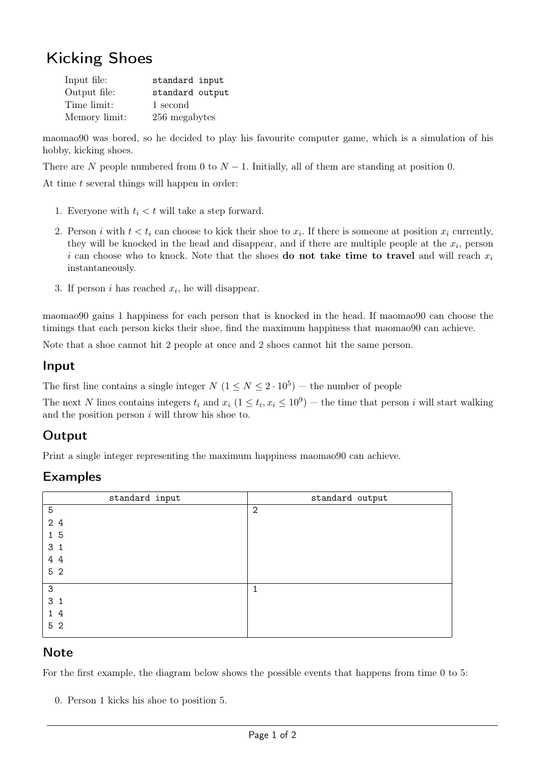# Kicking Shoes

| Input file:   | standard input  |
|---------------|-----------------|
| Output file:  | standard output |
| Time limit:   | 1 second        |
| Memory limit: | 256 megabytes   |

maomao90 was bored, so he decided to play his favourite computer game, which is a simulation of his hobby, kicking shoes.

There are N people numbered from 0 to  $N-1$ . Initially, all of them are standing at position 0.

At time t several things will happen in order:

- 1. Everyone with  $t_i < t$  will take a step forward.
- 2. Person *i* with  $t < t_i$  can choose to kick their shoe to  $x_i$ . If there is someone at position  $x_i$  currently, they will be knocked in the head and disappear, and if there are multiple people at the  $x_i$ , person i can choose who to knock. Note that the shoes **do not take time to travel** and will reach  $x_i$ instantaneously.
- 3. If person  $i$  has reached  $x_i$ , he will disappear.

maomao90 gains 1 happiness for each person that is knocked in the head. If maomao90 can choose the timings that each person kicks their shoe, find the maximum happiness that maomao90 can achieve.

Note that a shoe cannot hit 2 people at once and 2 shoes cannot hit the same person.

#### Input

The first line contains a single integer  $N$   $(1 \le N \le 2 \cdot 10^5)$  – the number of people

The next N lines contains integers  $t_i$  and  $x_i$   $(1 \le t_i, x_i \le 10^9)$  — the time that person i will start walking and the position person  $i$  will throw his shoe to.

## **Output**

Print a single integer representing the maximum happiness maomao90 can achieve.

## Examples

| standard input | standard output |
|----------------|-----------------|
| $\mathbf 5$    | $\mathbf{2}$    |
| 2 4            |                 |
| 15             |                 |
| 3 <sub>1</sub> |                 |
| 4 4            |                 |
| 5 <sub>2</sub> |                 |
| $\mathsf{3}$   | 1               |
| 3 <sub>1</sub> |                 |
| 14             |                 |
| 5 2            |                 |

#### **Note**

For the first example, the diagram below shows the possible events that happens from time 0 to 5:

0. Person 1 kicks his shoe to position 5.